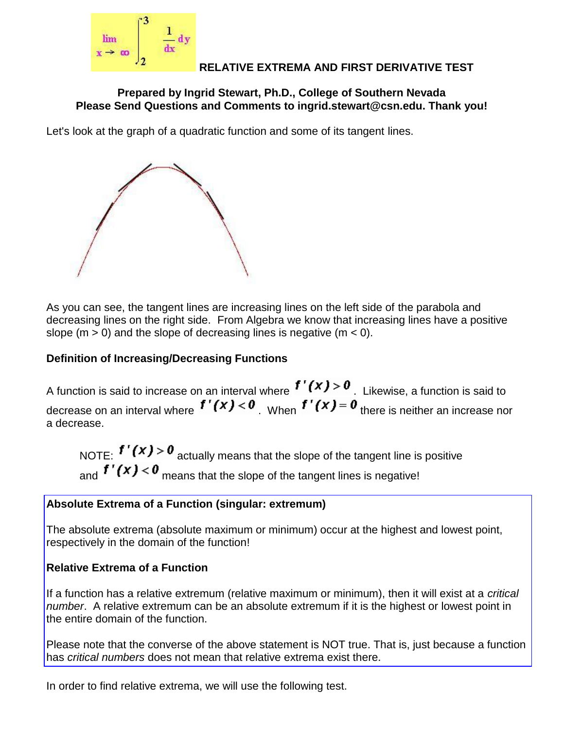

# **RELATIVE EXTREMA AND FIRST DERIVATIVE TEST**

#### **Prepared by Ingrid Stewart, Ph.D., College of Southern Nevada Please Send Questions and Comments to ingrid.stewart@csn.edu. Thank you!**

Let's look at the graph of a quadratic function and some of its tangent lines.



As you can see, the tangent lines are increasing lines on the left side of the parabola and decreasing lines on the right side. From Algebra we know that increasing lines have a positive slope ( $m > 0$ ) and the slope of decreasing lines is negative ( $m < 0$ ).

#### **Definition of Increasing/Decreasing Functions**

A function is said to increase on an interval where  $f'(x) > 0$ . Likewise, a function is said to decrease on an interval where  $f'(x) < 0$ . When  $f'(x) = 0$  there is neither an increase nor a decrease.

NOTE:  $f'(x) > 0$  actually means that the slope of the tangent line is positive and  $f'(x) < 0$  means that the slope of the tangent lines is negative!

## **Absolute Extrema of a Function (singular: extremum)**

The absolute extrema (absolute maximum or minimum) occur at the highest and lowest point, respectively in the domain of the function!

## **Relative Extrema of a Function**

If a function has a relative extremum (relative maximum or minimum), then it will exist at a *critical number*. A relative extremum can be an absolute extremum if it is the highest or lowest point in the entire domain of the function.

Please note that the converse of the above statement is NOT true. That is, just because a function has *critical numbers* does not mean that relative extrema exist there.

In order to find relative extrema, we will use the following test.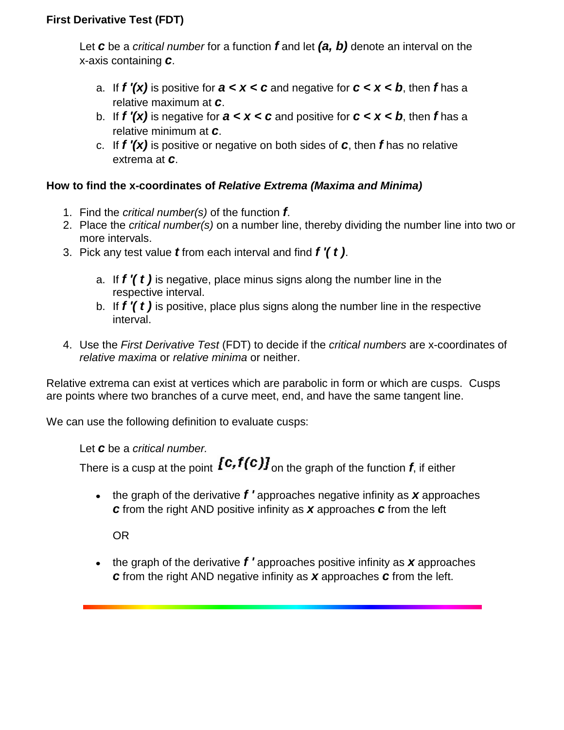# **First Derivative Test (FDT)**

Let *c* be a *critical number* for a function *f* and let *(a, b)* denote an interval on the x-axis containing *c*.

- a. If  $f'(x)$  is positive for  $a < x < c$  and negative for  $c < x < b$ , then f has a relative maximum at *c*.
- b. If *f '(x)* is negative for *a < x < c* and positive for *c < x < b*, then *f* has a relative minimum at *c*.
- c. If *f '(x)* is positive or negative on both sides of *c*, then *f* has no relative extrema at *c*.

## **How to find the x-coordinates of** *Relative Extrema (Maxima and Minima)*

- 1. Find the *critical number(s)* of the function *f*.
- 2. Place the *critical number(s)* on a number line, thereby dividing the number line into two or more intervals.
- 3. Pick any test value *t* from each interval and find *f '( t )*.
	- a. If *f '( t )* is negative, place minus signs along the number line in the respective interval.
	- b. If *f '( t )* is positive, place plus signs along the number line in the respective interval.
- 4. Use the *First Derivative Test* (FDT) to decide if the *critical numbers* are x-coordinates of *relative maxima* or *relative minima* or neither.

Relative extrema can exist at vertices which are parabolic in form or which are cusps. Cusps are points where two branches of a curve meet, end, and have the same tangent line.

We can use the following definition to evaluate cusps:

Let *c* be a *critical number.*

There is a cusp at the point  $[c, f(c)]$  on the graph of the function  $f$ , if either

the graph of the derivative *f '* approaches negative infinity as *x* approaches *c* from the right AND positive infinity as *x* approaches *c* from the left

OR

the graph of the derivative *f '* approaches positive infinity as *x* approaches *c* from the right AND negative infinity as *x* approaches *c* from the left.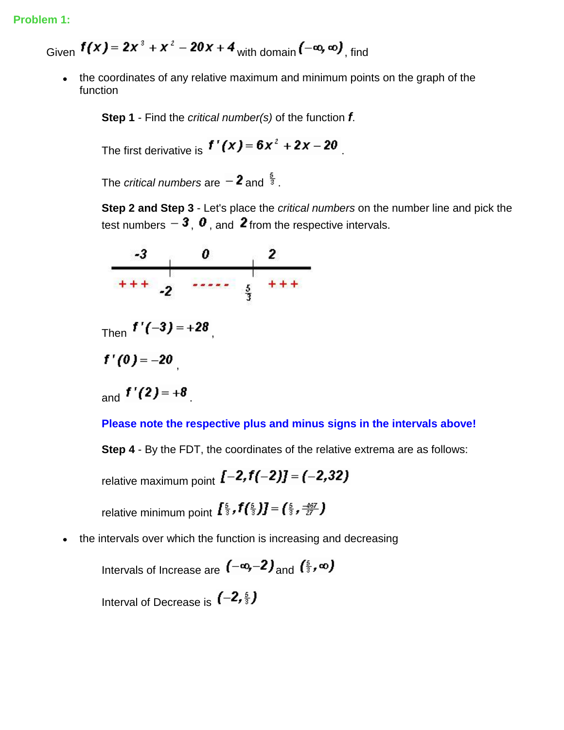#### **Problem 1:**

Given  $f(x) = 2x^3 + x^2 - 20x + 4$  with domain  $(-\infty, \infty)$ , find

the coordinates of any relative maximum and minimum points on the graph of the  $\bullet$ function

**Step 1** - Find the *critical number(s)* of the function *f*.

The first derivative is 
$$
f'(x) = 6x^2 + 2x - 20
$$

The *critical numbers* are  $-2$  and  $\frac{5}{3}$ .

**Step 2 and Step 3** - Let's place the *critical numbers* on the number line and pick the test numbers  $-3$ ,  $\boldsymbol{0}$ , and  $\boldsymbol{2}$  from the respective intervals.



Then 
$$
f'(-3) = +28
$$

f'(0) =  $-20$ 

and  $f'(2) = +8$ 

**Please note the respective plus and minus signs in the intervals above!**

**Step 4** - By the FDT, the coordinates of the relative extrema are as follows:

relative maximum point  $[-2, f(-2)] = [-2, 32]$ 

relative minimum point  $\left[\frac{5}{3}, f\left(\frac{5}{3}\right)\right] = \left(\frac{5}{3}, \frac{-467}{27}\right)$ 

the intervals over which the function is increasing and decreasing  $\bullet$ 

> Intervals of Increase are  $(-\infty, -2)$  and  $(\frac{5}{3}, \infty)$ Interval of Decrease is  $(-2, \frac{5}{3})$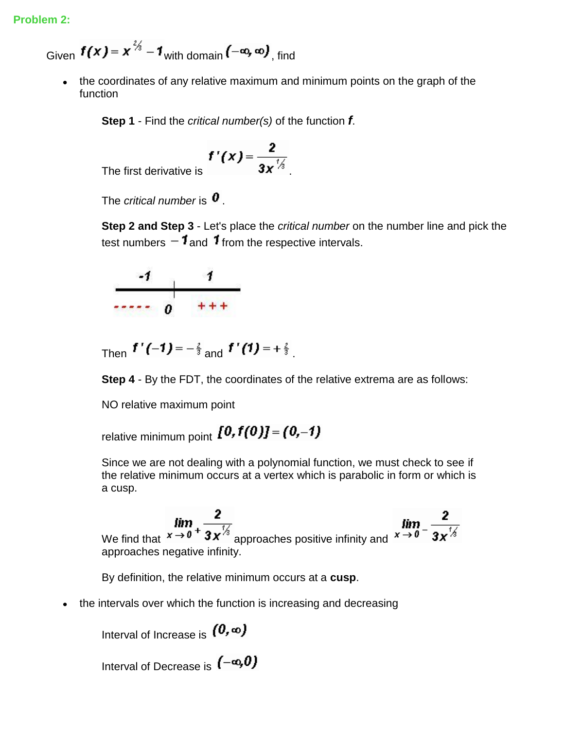Given  $f(x) = x^{\frac{2}{3}} - 1$  with domain  $(-\infty, \infty)$ , find

the coordinates of any relative maximum and minimum points on the graph of the function

**Step 1** - Find the *critical number(s)* of the function *f*.

$$
f'(x) = \frac{2}{3x^{\frac{1}{3}}}
$$

The first derivative is.

The *critical number* is  $\mathbf{0}$ .

**Step 2 and Step 3** - Let's place the *critical number* on the number line and pick the test numbers  $-1$  and 1 from the respective intervals.



Then  $f'(-1) = -\frac{2}{3}$  and  $f'(1) = +\frac{2}{3}$ .



NO relative maximum point

relative minimum point  $[0, f(0)] = (0,-1)$ 

Since we are not dealing with a polynomial function, we must check to see if the relative minimum occurs at a vertex which is parabolic in form or which is a cusp.

 $\lim_{x\to 0^+} \frac{2}{3x^{\frac{1}{3}}}$ <br>We find that  $x\to 0^+} \frac{2}{3x^{\frac{1}{3}}}$  approaches positive infinity and  $x\to 0^-} \frac{2}{3x^{\frac{1}{3}}}$ approaches negative infinity.

By definition, the relative minimum occurs at a **cusp**.

the intervals over which the function is increasing and decreasing  $\bullet$ 

Interval of Increase is  $(0, \infty)$ 

Interval of Decrease is  $(-\infty,0)$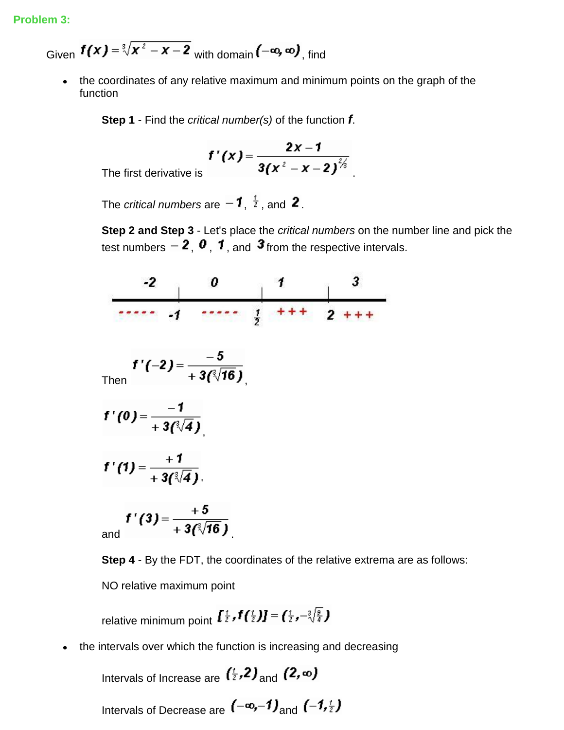Given  $f(x) = \sqrt[3]{x^2 - x - 2}$  with domain  $(-\infty, \infty)$ , find

the coordinates of any relative maximum and minimum points on the graph of the  $\bullet$ function

**Step 1** - Find the *critical number(s)* of the function *f*.

$$
f'(x) = \frac{2x-1}{3(x^2-x-2)^{\frac{2}{3}}}
$$

The first derivative is.

The *critical numbers* are  $-\mathbf{1}$ ,  $\frac{1}{2}$ , and **2**.

**Step 2 and Step 3** - Let's place the *critical numbers* on the number line and pick the test numbers  $-2$ ,  $0$ ,  $1$ , and  $3$  from the respective intervals.



relative minimum point  $\int_{\frac{t}{2}}^{t} f(\frac{t}{2}) J = \int_{\frac{t}{2}}^{t} - \sqrt[3]{\frac{9}{4}} J$ 

the intervals over which the function is increasing and decreasing  $\bullet$ 

> Intervals of Increase are  $\binom{t}{z}$ ,  $2$  and  $(2, \infty)$ Intervals of Decrease are  $(-\infty, -1)$ <sub>and</sub>  $(-1, \frac{1}{2})$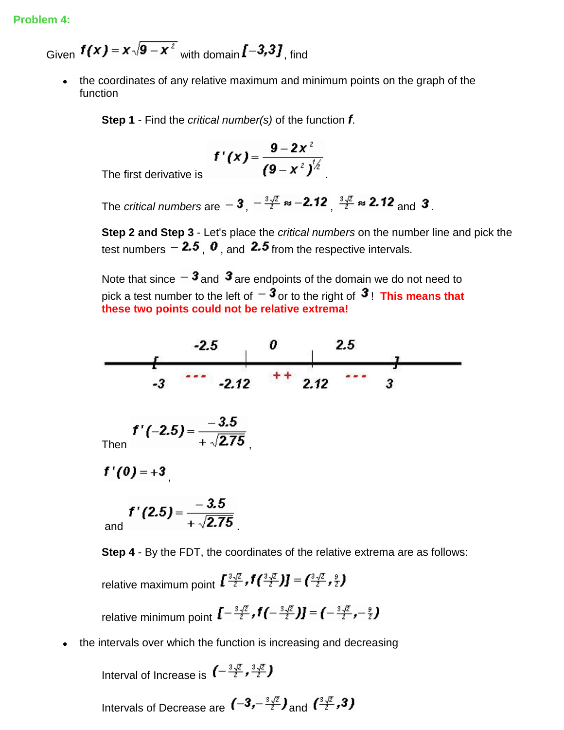Given  $f(x) = x\sqrt{9-x^2}$  with domain  $\mathbf{f}$  – 3,3], find

the coordinates of any relative maximum and minimum points on the graph of the function

**Step 1** - Find the *critical number(s)* of the function *f*.

$$
f'(x) = \frac{9-2x^2}{(9-x^2)^{1/2}}
$$

The first derivative is.

The *critical numbers* are  $-3$ ,  $-\frac{3\sqrt{2}}{2} \approx -2.12$ .  $\frac{3\sqrt{2}}{2} \approx 2.12$  and 3

**Step 2 and Step 3** - Let's place the *critical numbers* on the number line and pick the test numbers  $-2.5$  , 0, and 2.5 from the respective intervals.

Note that since  $-\mathbf{3}$  and  $\mathbf{3}$  are endpoints of the domain we do not need to pick a test number to the left of  $-3$  or to the right of  $3$ ! This means that **these two points could not be relative extrema!**

$$
-2.5
$$
  
\n
$$
-3
$$
  
\n
$$
-3
$$
  
\n
$$
-2.12
$$
  
\n
$$
+1
$$
  
\n
$$
2.5
$$
  
\n
$$
3
$$
  
\n
$$
1
$$
  
\n
$$
1
$$
  
\n
$$
2.5
$$
  
\n
$$
3
$$
  
\n
$$
1
$$
  
\n
$$
2.6
$$
  
\n
$$
3
$$
  
\n
$$
3
$$
  
\n
$$
5
$$
  
\n
$$
5
$$
  
\n
$$
5
$$
  
\n
$$
5
$$
  
\n
$$
5
$$
  
\n
$$
5
$$
  
\n
$$
5
$$
  
\n
$$
5
$$
  
\n
$$
5
$$
  
\n
$$
5
$$
  
\n
$$
5
$$
  
\n
$$
5
$$
  
\n
$$
5
$$
  
\n
$$
5
$$
  
\n
$$
5
$$
  
\n
$$
5
$$
  
\n
$$
5
$$
  
\n
$$
5
$$
  
\n
$$
5
$$
  
\n
$$
5
$$
  
\n
$$
5
$$
  
\n
$$
5
$$
  
\n
$$
5
$$
  
\n
$$
5
$$
  
\n
$$
5
$$
  
\n
$$
5
$$
  
\n
$$
5
$$
  
\n
$$
5
$$
  
\n
$$
5
$$
  
\n
$$
5
$$
  
\n
$$
5
$$
  
\n
$$
5
$$
  
\n
$$
5
$$
  
\n
$$
5
$$
  
\n
$$
5
$$
  
\n
$$
5
$$
  
\n
$$
5
$$
  
\n
$$
5
$$
  
\n
$$
5
$$
  
\n
$$
5
$$
  
\n
$$
5
$$
  
\n
$$
5
$$
  
\n
$$
5
$$

relative maximum point  $\int \frac{3\sqrt{2}}{2} f(\frac{3\sqrt{2}}{2})J = (\frac{3\sqrt{2}}{2}, \frac{9}{2})$ relative minimum point  $\int -\frac{3\sqrt{2}}{2} f(-\frac{3\sqrt{2}}{2})J = \int -\frac{3\sqrt{2}}{2} f(-\frac{9}{2})$ 

the intervals over which the function is increasing and decreasing

Interval of Increase is  $\left(-\frac{3\sqrt{2}}{2}, \frac{3\sqrt{2}}{2}\right)$ Intervals of Decrease are  $(-3,-\frac{3\sqrt{2}}{2})$  and  $(\frac{3\sqrt{2}}{2},3)$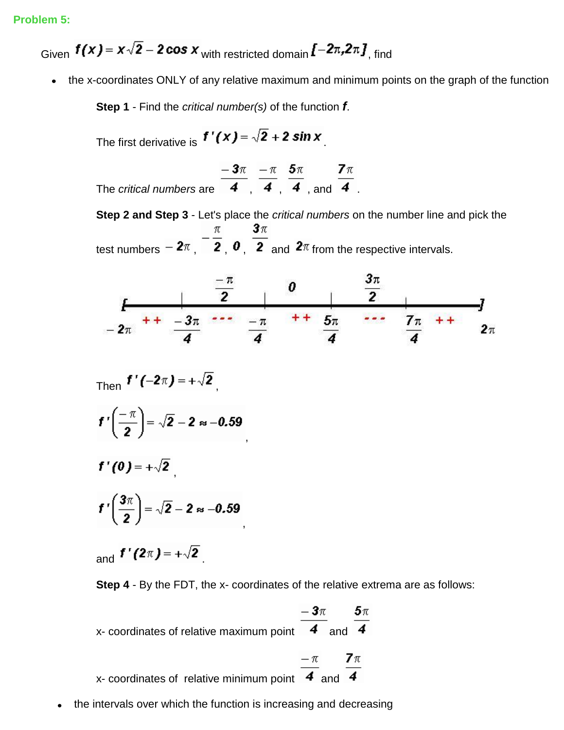Given  $f(x) = x\sqrt{2} - 2\cos x$  with restricted domain  $[-2\pi, 2\pi, \sin\theta]$ , find

the x-coordinates ONLY of any relative maximum and minimum points on the graph of the function

**Step 1** - Find the *critical number(s)* of the function *f*.

The first derivative is  $f'(x) = \sqrt{2} + 2 \sin x$ 

The *critical numbers* are  $\frac{-3\pi}{4}$ ,  $\frac{-\pi}{4}$ ,  $\frac{5\pi}{4}$  and  $\frac{7\pi}{4}$ 

**Step 2 and Step 3** - Let's place the *critical numbers* on the number line and pick the  $3\pi$ test numbers  $-2\pi$ ,  $-\frac{\pi}{2}$ ,  $\theta$ ,  $\frac{3\pi}{2}$  and  $2\pi$  from the respective intervals.



Then 
$$
f'(-2\pi) = +\sqrt{2}
$$
,

$$
f'\left(\frac{-\pi}{2}\right) = \sqrt{2} - 2 \approx -0.59
$$

$$
f'(0)=+\sqrt{2}
$$

$$
f'\left(\frac{3\pi}{2}\right)=\sqrt{2}-2\approx-0.59
$$

,

and  $f'(2\pi) = +\sqrt{2}$ 

**Step 4** - By the FDT, the x- coordinates of the relative extrema are as follows:

 $-3\pi$ x- coordinates of relative maximum point  $\overline{4}$  and  $\overline{4}$ x- coordinates of relative minimum point  $\frac{-\pi}{4}$  and  $\frac{7\pi}{4}$ 

,

,

the intervals over which the function is increasing and decreasing